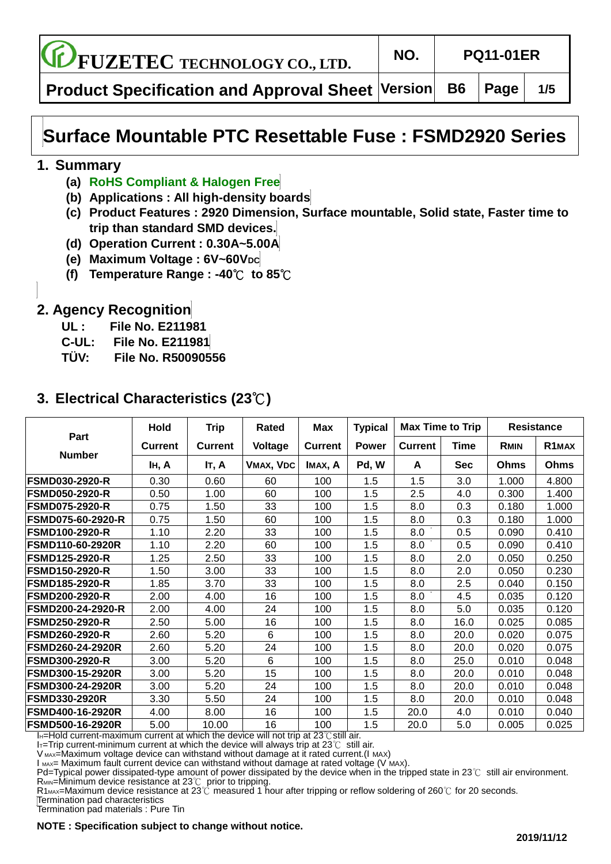**FUZETEC TECHNOLOGY CO., LTD. NO. PQ11-01ER**

**Product Specification and Approval Sheet Version B6 Page 1/5**

# **Surface Mountable PTC Resettable Fuse : FSMD2920 Series**

#### **1. Summary**

- **(a) RoHS Compliant & Halogen Free**
- **(b) Applications : All high-density boards**
- **(c) Product Features : 2920 Dimension, Surface mountable, Solid state, Faster time to trip than standard SMD devices.**
- **(d) Operation Current : 0.30A~5.00A**
- **(e) Maximum Voltage : 6V~60VDC**
- **(f) Temperature Range : -40**℃ **to 85**℃

### **2. Agency Recognition**

- **UL : File No. E211981**
- **C-UL: File No. E211981**
- **TÜ V: File No. R50090556**

## **3. Electrical Characteristics (23**℃**)**

|                          | Hold           | <b>Trip</b>    | Rated     | Max            | <b>Typical</b> | <b>Max Time to Trip</b> |            |             | <b>Resistance</b>  |
|--------------------------|----------------|----------------|-----------|----------------|----------------|-------------------------|------------|-------------|--------------------|
| Part                     | <b>Current</b> | <b>Current</b> | Voltage   | <b>Current</b> | <b>Power</b>   | <b>Current</b>          | Time       | <b>RMIN</b> | R <sub>1</sub> MAX |
| <b>Number</b>            | IH, A          | IT, A          | VMAX, VDC | IMAX, A        | Pd, W          | A                       | <b>Sec</b> | Ohms        | Ohms               |
| <b>FSMD030-2920-R</b>    | 0.30           | 0.60           | 60        | 100            | 1.5            | 1.5                     | 3.0        | 1.000       | 4.800              |
| <b>FSMD050-2920-R</b>    | 0.50           | 1.00           | 60        | 100            | 1.5            | 2.5                     | 4.0        | 0.300       | 1.400              |
| <b>FSMD075-2920-R</b>    | 0.75           | 1.50           | 33        | 100            | 1.5            | 8.0                     | 0.3        | 0.180       | 1.000              |
| <b>FSMD075-60-2920-R</b> | 0.75           | 1.50           | 60        | 100            | 1.5            | 8.0                     | 0.3        | 0.180       | 1.000              |
| <b>FSMD100-2920-R</b>    | 1.10           | 2.20           | 33        | 100            | 1.5            | 8.0                     | 0.5        | 0.090       | 0.410              |
| <b>FSMD110-60-2920R</b>  | 1.10           | 2.20           | 60        | 100            | 1.5            | 8.0                     | 0.5        | 0.090       | 0.410              |
| <b>FSMD125-2920-R</b>    | 1.25           | 2.50           | 33        | 100            | 1.5            | 8.0                     | 2.0        | 0.050       | 0.250              |
| <b>FSMD150-2920-R</b>    | 1.50           | 3.00           | 33        | 100            | 1.5            | 8.0                     | 2.0        | 0.050       | 0.230              |
| <b>FSMD185-2920-R</b>    | 1.85           | 3.70           | 33        | 100            | 1.5            | 8.0                     | 2.5        | 0.040       | 0.150              |
| <b>FSMD200-2920-R</b>    | 2.00           | 4.00           | 16        | 100            | 1.5            | 8.0                     | 4.5        | 0.035       | 0.120              |
| FSMD200-24-2920-R        | 2.00           | 4.00           | 24        | 100            | 1.5            | 8.0                     | 5.0        | 0.035       | 0.120              |
| <b>FSMD250-2920-R</b>    | 2.50           | 5.00           | 16        | 100            | 1.5            | 8.0                     | 16.0       | 0.025       | 0.085              |
| FSMD260-2920-R           | 2.60           | 5.20           | 6         | 100            | 1.5            | 8.0                     | 20.0       | 0.020       | 0.075              |
| <b>FSMD260-24-2920R</b>  | 2.60           | 5.20           | 24        | 100            | 1.5            | 8.0                     | 20.0       | 0.020       | 0.075              |
| <b>FSMD300-2920-R</b>    | 3.00           | 5.20           | 6         | 100            | 1.5            | 8.0                     | 25.0       | 0.010       | 0.048              |
| <b>FSMD300-15-2920R</b>  | 3.00           | 5.20           | 15        | 100            | 1.5            | 8.0                     | 20.0       | 0.010       | 0.048              |
| <b>FSMD300-24-2920R</b>  | 3.00           | 5.20           | 24        | 100            | 1.5            | 8.0                     | 20.0       | 0.010       | 0.048              |
| <b>FSMD330-2920R</b>     | 3.30           | 5.50           | 24        | 100            | 1.5            | 8.0                     | 20.0       | 0.010       | 0.048              |
| <b>FSMD400-16-2920R</b>  | 4.00           | 8.00           | 16        | 100            | 1.5            | 20.0                    | 4.0        | 0.010       | 0.040              |
| <b>FSMD500-16-2920R</b>  | 5.00           | 10.00          | 16        | 100            | 1.5            | 20.0                    | 5.0        | 0.005       | 0.025              |

IH=Hold current-maximum current at which the device will not trip at 23℃still air.

I<sub>T=</sub>Trip current-minimum current at which the device will always trip at 23℃ still air.

V MAX=Maximum voltage device can withstand without damage at it rated current.(I MAX) I MAX= Maximum fault current device can withstand without damage at rated voltage (V MAX).

Pd=Typical power dissipated-type amount of power dissipated by the device when in the tripped state in 23℃ still air environment. R<sub>MIN</sub>=Minimum device resistance at 23℃ prior to tripping.

R1<sub>MAX</sub>=Maximum device resistance at 23℃ measured 1 hour after tripping or reflow soldering of 260℃ for 20 seconds.

Termination pad characteristics

Termination pad materials : Pure Tin

**NOTE : Specification subject to change without notice.**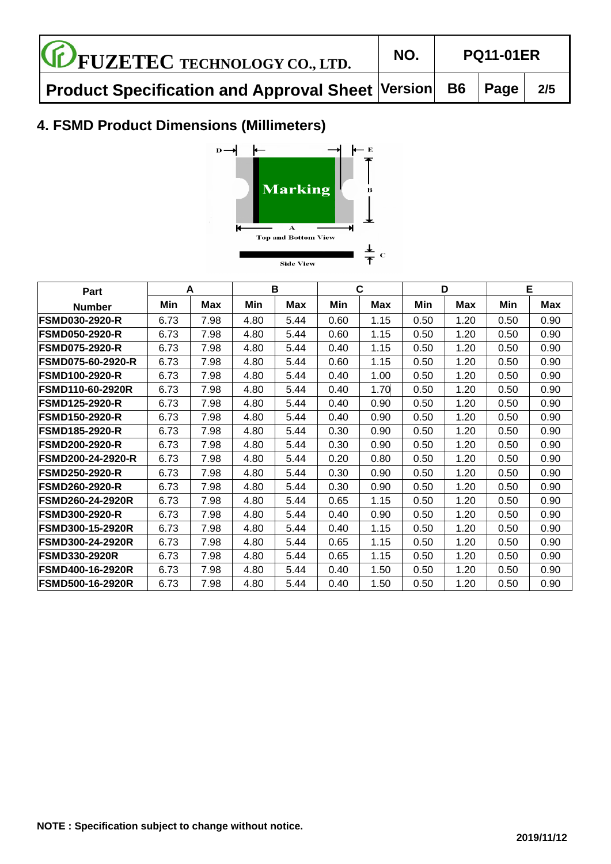| <b>CE FUZETEC TECHNOLOGY CO., LTD.</b>                       | NO. | <b>PQ11-01ER</b> |  |     |  |
|--------------------------------------------------------------|-----|------------------|--|-----|--|
| Product Specification and Approval Sheet Version   B6   Page |     |                  |  | 2/5 |  |

# **4. FSMD Product Dimensions (Millimeters)**



| <b>Part</b>              |      | A    |      | B    |      | C    |      | D    | Е    |      |
|--------------------------|------|------|------|------|------|------|------|------|------|------|
| <b>Number</b>            | Min  | Max  | Min  | Max  | Min  | Max  | Min  | Max  | Min  | Max  |
| <b>FSMD030-2920-R</b>    | 6.73 | 7.98 | 4.80 | 5.44 | 0.60 | 1.15 | 0.50 | 1.20 | 0.50 | 0.90 |
| <b>FSMD050-2920-R</b>    | 6.73 | 7.98 | 4.80 | 5.44 | 0.60 | 1.15 | 0.50 | 1.20 | 0.50 | 0.90 |
| <b>FSMD075-2920-R</b>    | 6.73 | 7.98 | 4.80 | 5.44 | 0.40 | 1.15 | 0.50 | 1.20 | 0.50 | 0.90 |
| <b>FSMD075-60-2920-R</b> | 6.73 | 7.98 | 4.80 | 5.44 | 0.60 | 1.15 | 0.50 | 1.20 | 0.50 | 0.90 |
| <b>FSMD100-2920-R</b>    | 6.73 | 7.98 | 4.80 | 5.44 | 0.40 | 1.00 | 0.50 | 1.20 | 0.50 | 0.90 |
| <b>FSMD110-60-2920R</b>  | 6.73 | 7.98 | 4.80 | 5.44 | 0.40 | 1.70 | 0.50 | 1.20 | 0.50 | 0.90 |
| <b>FSMD125-2920-R</b>    | 6.73 | 7.98 | 4.80 | 5.44 | 0.40 | 0.90 | 0.50 | 1.20 | 0.50 | 0.90 |
| <b>FSMD150-2920-R</b>    | 6.73 | 7.98 | 4.80 | 5.44 | 0.40 | 0.90 | 0.50 | 1.20 | 0.50 | 0.90 |
| <b>FSMD185-2920-R</b>    | 6.73 | 7.98 | 4.80 | 5.44 | 0.30 | 0.90 | 0.50 | 1.20 | 0.50 | 0.90 |
| <b>FSMD200-2920-R</b>    | 6.73 | 7.98 | 4.80 | 5.44 | 0.30 | 0.90 | 0.50 | 1.20 | 0.50 | 0.90 |
| <b>FSMD200-24-2920-R</b> | 6.73 | 7.98 | 4.80 | 5.44 | 0.20 | 0.80 | 0.50 | 1.20 | 0.50 | 0.90 |
| <b>FSMD250-2920-R</b>    | 6.73 | 7.98 | 4.80 | 5.44 | 0.30 | 0.90 | 0.50 | 1.20 | 0.50 | 0.90 |
| <b>FSMD260-2920-R</b>    | 6.73 | 7.98 | 4.80 | 5.44 | 0.30 | 0.90 | 0.50 | 1.20 | 0.50 | 0.90 |
| <b>FSMD260-24-2920R</b>  | 6.73 | 7.98 | 4.80 | 5.44 | 0.65 | 1.15 | 0.50 | 1.20 | 0.50 | 0.90 |
| <b>FSMD300-2920-R</b>    | 6.73 | 7.98 | 4.80 | 5.44 | 0.40 | 0.90 | 0.50 | 1.20 | 0.50 | 0.90 |
| <b>FSMD300-15-2920R</b>  | 6.73 | 7.98 | 4.80 | 5.44 | 0.40 | 1.15 | 0.50 | 1.20 | 0.50 | 0.90 |
| <b>FSMD300-24-2920R</b>  | 6.73 | 7.98 | 4.80 | 5.44 | 0.65 | 1.15 | 0.50 | 1.20 | 0.50 | 0.90 |
| <b>FSMD330-2920R</b>     | 6.73 | 7.98 | 4.80 | 5.44 | 0.65 | 1.15 | 0.50 | 1.20 | 0.50 | 0.90 |
| <b>FSMD400-16-2920R</b>  | 6.73 | 7.98 | 4.80 | 5.44 | 0.40 | 1.50 | 0.50 | 1.20 | 0.50 | 0.90 |
| <b>FSMD500-16-2920R</b>  | 6.73 | 7.98 | 4.80 | 5.44 | 0.40 | 1.50 | 0.50 | 1.20 | 0.50 | 0.90 |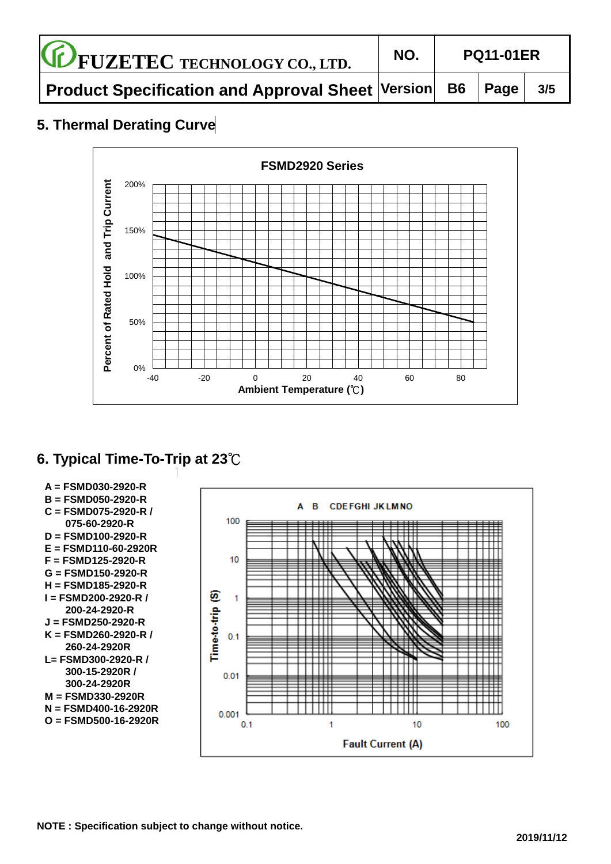| <b>CE FUZETEC TECHNOLOGY CO., LTD.</b>                       | NO. | <b>PQ11-01ER</b> |  |     |  |
|--------------------------------------------------------------|-----|------------------|--|-----|--|
| Product Specification and Approval Sheet Version   B6   Page |     |                  |  | 3/5 |  |

## **5. Thermal Derating Curve**



# **6. Typical Time-To-Trip at 23**℃



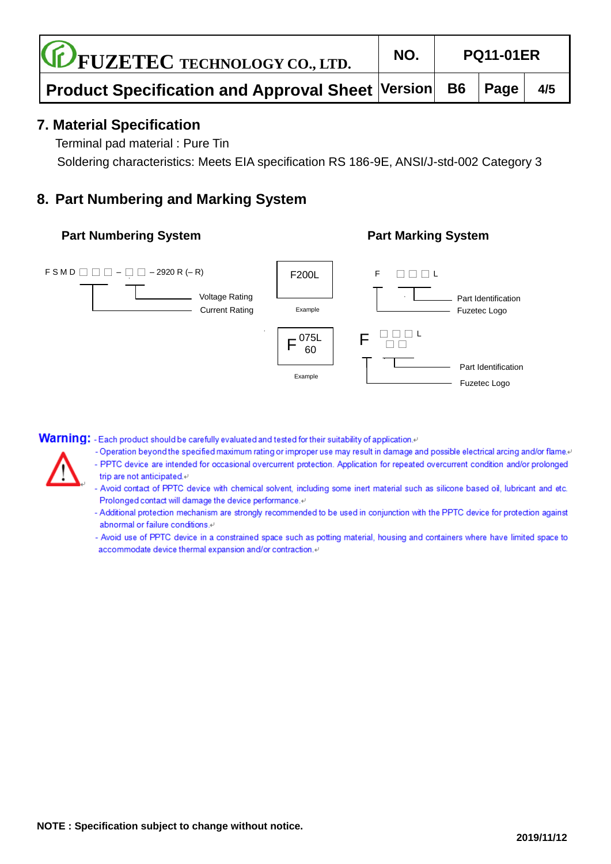| <b>CE FUZETEC TECHNOLOGY CO., LTD.</b>                                             | NO. | <b>PQ11-01ER</b> |  |     |  |
|------------------------------------------------------------------------------------|-----|------------------|--|-----|--|
| Product Specification and Approval Sheet $ \mathsf{Version} $ B6 $ \mathsf{Page} $ |     |                  |  | 4/5 |  |

#### **7. Material Specification**

Terminal pad material : Pure Tin

Soldering characteristics: Meets EIA specification RS 186-9E, ANSI/J-std-002 Category 3

### **8. Part Numbering and Marking System**

#### **Part Numbering System**  Part Marking System



Warning: - Each product should be carefully evaluated and tested for their suitability of application.

- -Operation beyond the specified maximum rating or improper use may result in damage and possible electrical arcing and/or flame.
- PPTC device are intended for occasional overcurrent protection. Application for repeated overcurrent condition and/or prolonged trip are not anticipated.4
- Avoid contact of PPTC device with chemical solvent, including some inert material such as silicone based oil, lubricant and etc. Prolonged contact will damage the device performance.<sup>47</sup>
- Additional protection mechanism are strongly recommended to be used in conjunction with the PPTC device for protection against abnormal or failure conditions.<sup>41</sup>
- Avoid use of PPTC device in a constrained space such as potting material, housing and containers where have limited space to accommodate device thermal expansion and/or contraction.41